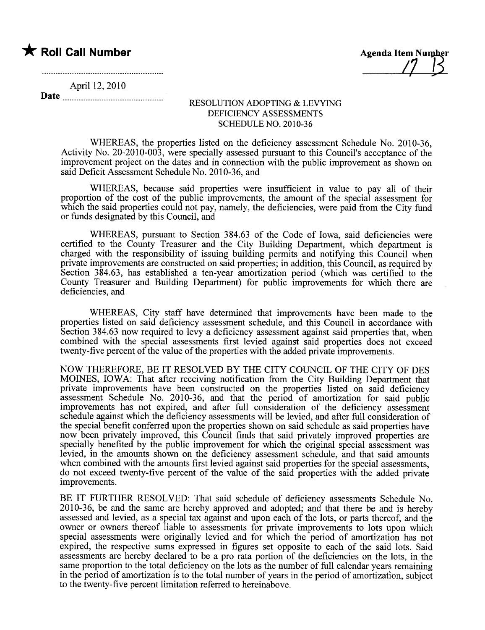# **\*** Roll Call Number Agenda Item Number

 $\frac{1}{2}$ 

 $\mathcal{L}$ 

April 12,2010

Date

#### RESOLUTION ADOPTING & LEVYING DEFICIENCY ASSESSMENTS SCHEDULE NO. 2010-36

WHEREAS, the properties listed on the deficiency assessment Schedule No. 2010-36, Activity No. 20-2010-003, were specially assessed pursuant to this Council's acceptance of the improvement project on the dates and in connection with the public improvement as shown on said Deficit Assessment Schedule No. 2010-36, and

WHEREAS, because said properties were insufficient in value to pay all of their proportion of the cost of the public improvements, the amount of the special assessment for which the said properties could not pay, namely, the deficiencies, were paid from the City fund or funds designated by this Council, and

WHEREAS, pursuant to Section 384.63 of the Code of Iowa, said deficiencies were certified to the County Treasurer and the City Building Deparment, which department is charged with the responsibility of issuing building permits and notifying this Council when private improvements are constructed on said properties; in addition, this Council, as required by Section 384.63, has established a ten-year amortization period (which was certified to the County Treasurer and Building Department) for public improvements for which there are deficiencies, and

WHEREAS, City staff have determined that improvements have been made to the properties listed on said deficiency assessment schedule, and this Council in accordance with Section 384.63 now required to levy a deficiency assessment against said properties that, when combined with the special assessments first levied against said properties does not exceed twenty- five percent of the value of the properties with the added private improvements.

NOW THEREFORE, BE IT RESOLVED BY THE CITY COUNCIL OF THE CITY OF DES MOINES, IOWA: That after receiving notification from the City Building Deparment that private improvements have been constructed on the properties listed on said deficiency assessment Schedule No. 2010-36, and that the period of amortization for said public improvements has not expired, and after full consideration of the deficiency assessment schedule against which the deficiency assessments will be levied, and after full consideration of the special benefit conferred upon the properties shown on said schedule as said properties have now been privately improved, this Council finds that said privately improved properties are specially benefited by the public improvement for which the original special assessment was levied, in the amounts shown on the deficiency assessment schedule, and that said amounts when combined with the amounts first levied against said properties for the special assessments, do not exceed twenty-five percent of the value of the said properties with the added private improvements.

BE IT FURTHER RESOLVED: That said schedule of deficiency assessments Schedule No. 2010-36, be and the same are hereby approved and adopted; and that there be and is hereby assessed and levied, as a special tax against and upon each of the lots, or parts thereof, and the owner or owners thereof liable to assessments for private improvements to lots upon which special assessments were originally levied and for which the period of amortization has not expired, the respective sums expressed in figures set opposite to each of the said lots. Said assessments are hereby declared to be a pro rata portion of the deficiencies on the lots, in the same proportion to the total deficiency on the lots as the number of full calendar years remaining in the period of amortization is to the total number of years in the period of amortization, subject to the twenty-five percent limitation referred to hereinabove.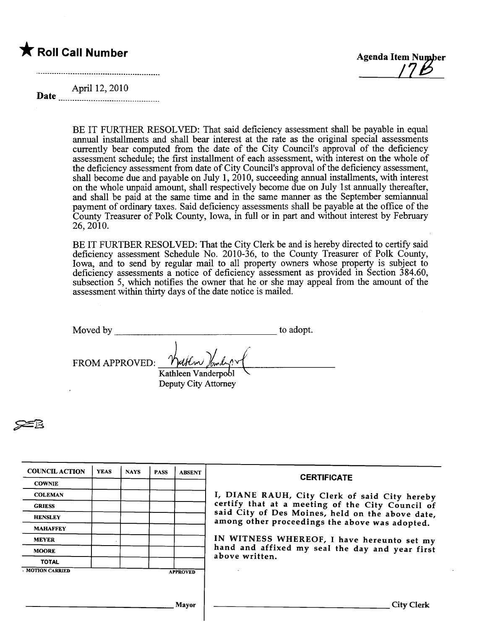# $\bigstar$  Roll Call Number



....\_--.......\_--......\_-.......\_--..........\_-.....\_--....\_-.......

Date April 12, 2010

> BE IT FURTHER RESOLVED: That said deficiency assessment shall be payable in equal annual installments and shall bear interest at the rate as the original special assessments curently bear computed from the date of the City Council's approval of the deficiency assessment schedule; the first installment of each assessment, with interest on the whole of the deficiency assessment from date of City Council's approval of the deficiency assessment, shall become due and payable on July 1, 2010, succeeding annual installments, with interest on the whole unpaid amount, shall respectively become due on July 1st anually thereafter, and shall be paid at the same time and in the same maner as the September semianual payment of ordinary taxes. Said deficiency assessments shall be payable at the office of the County Treasurer of Polk County, Iowa, in full or in part and without interest by February 26,2010.

> BE IT FURTBER RESOLVED: That the City Clerk be and is hereby directed to certify said deficiency assessment Schedule No. 2010-36, to the County Treasurer of Polk County, Iowa, and to send by regular mail to all property owners whose property is subject to deficiency assessments a notice of deficiency assessment as provided in Section 384.60, subsection 5, which notifies the owner that he or she may appeal from the amount of the assessment within thirty days of the date notice is mailed.

| Moved by       |                                                                | to adopt. |
|----------------|----------------------------------------------------------------|-----------|
| FROM APPROVED: | Walten Jandy or<br>Kathleen Vanderpool<br>Deputy City Attorney |           |

**25** 

| <b>COUNCIL ACTION</b> | <b>YEAS</b> | <b>NAYS</b> | <b>PASS</b> | <b>ABSENT</b>   | <b>CERTIFICATE</b>                                                                                   |  |
|-----------------------|-------------|-------------|-------------|-----------------|------------------------------------------------------------------------------------------------------|--|
| <b>COWNIE</b>         |             |             |             |                 |                                                                                                      |  |
| <b>COLEMAN</b>        |             |             |             |                 | I, DIANE RAUH, City Clerk of said City hereby                                                        |  |
| <b>GRIESS</b>         |             |             |             |                 | certify that at a meeting of the City Council of<br>said City of Des Moines, held on the above date, |  |
| <b>HENSLEY</b>        |             |             |             |                 |                                                                                                      |  |
| <b>MAHAFFEY</b>       |             |             |             |                 | among other proceedings the above was adopted.                                                       |  |
| <b>MEYER</b>          |             |             |             |                 | IN WITNESS WHEREOF, I have hereunto set my<br>hand and affixed my seal the day and year first        |  |
| <b>MOORE</b>          |             |             |             |                 |                                                                                                      |  |
| <b>TOTAL</b>          |             |             |             |                 | above written.                                                                                       |  |
| <b>MOTION CARRIED</b> |             |             |             | <b>APPROVED</b> |                                                                                                      |  |
|                       |             |             |             |                 |                                                                                                      |  |
|                       |             |             |             |                 |                                                                                                      |  |
|                       |             |             |             | Mavor           | <b>City Clerk</b>                                                                                    |  |